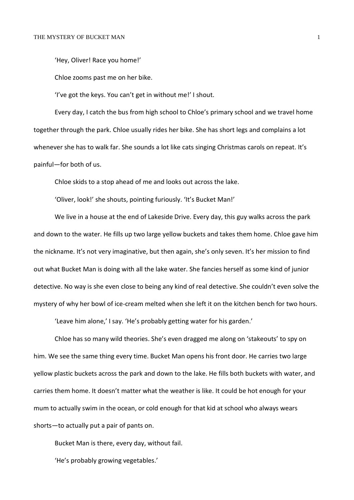'Hey, Oliver! Race you home!'

Chloe zooms past me on her bike.

'I've got the keys. You can't get in without me!' I shout.

Every day, I catch the bus from high school to Chloe's primary school and we travel home together through the park. Chloe usually rides her bike. She has short legs and complains a lot whenever she has to walk far. She sounds a lot like cats singing Christmas carols on repeat. It's painful—for both of us.

Chloe skids to a stop ahead of me and looks out across the lake.

'Oliver, look!' she shouts, pointing furiously. 'It's Bucket Man!'

We live in a house at the end of Lakeside Drive. Every day, this guy walks across the park and down to the water. He fills up two large yellow buckets and takes them home. Chloe gave him the nickname. It's not very imaginative, but then again, she's only seven. It's her mission to find out what Bucket Man is doing with all the lake water. She fancies herself as some kind of junior detective. No way is she even close to being any kind of real detective. She couldn't even solve the mystery of why her bowl of ice-cream melted when she left it on the kitchen bench for two hours.

'Leave him alone,' I say. 'He's probably getting water for his garden.'

Chloe has so many wild theories. She's even dragged me along on 'stakeouts' to spy on him. We see the same thing every time. Bucket Man opens his front door. He carries two large yellow plastic buckets across the park and down to the lake. He fills both buckets with water, and carries them home. It doesn't matter what the weather is like. It could be hot enough for your mum to actually swim in the ocean, or cold enough for that kid at school who always wears shorts—to actually put a pair of pants on.

Bucket Man is there, every day, without fail.

'He's probably growing vegetables.'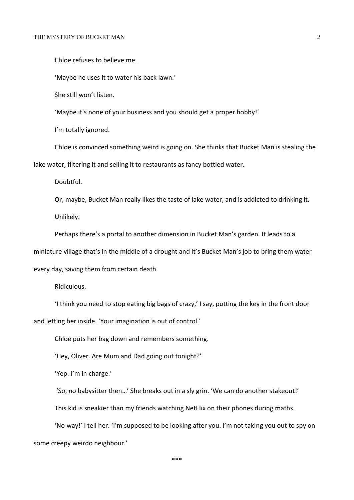Chloe refuses to believe me.

'Maybe he uses it to water his back lawn.'

She still won't listen.

'Maybe it's none of your business and you should get a proper hobby!'

I'm totally ignored.

Chloe is convinced something weird is going on. She thinks that Bucket Man is stealing the lake water, filtering it and selling it to restaurants as fancy bottled water.

Doubtful.

Or, maybe, Bucket Man really likes the taste of lake water, and is addicted to drinking it. Unlikely.

Perhaps there's a portal to another dimension in Bucket Man's garden. It leads to a miniature village that's in the middle of a drought and it's Bucket Man's job to bring them water every day, saving them from certain death.

Ridiculous.

'I think you need to stop eating big bags of crazy,' I say, putting the key in the front door and letting her inside. 'Your imagination is out of control.'

Chloe puts her bag down and remembers something.

'Hey, Oliver. Are Mum and Dad going out tonight?'

'Yep. I'm in charge.'

'So, no babysitter then…' She breaks out in a sly grin. 'We can do another stakeout!'

This kid is sneakier than my friends watching NetFlix on their phones during maths.

'No way!' I tell her. 'I'm supposed to be looking after you. I'm not taking you out to spy on some creepy weirdo neighbour.'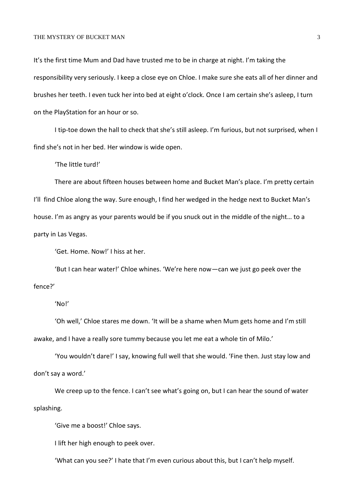## THE MYSTERY OF BUCKET MAN 3

It's the first time Mum and Dad have trusted me to be in charge at night. I'm taking the responsibility very seriously. I keep a close eye on Chloe. I make sure she eats all of her dinner and brushes her teeth. I even tuck her into bed at eight o'clock. Once I am certain she's asleep, I turn on the PlayStation for an hour or so.

I tip-toe down the hall to check that she's still asleep. I'm furious, but not surprised, when I find she's not in her bed. Her window is wide open.

'The little turd!'

There are about fifteen houses between home and Bucket Man's place. I'm pretty certain I'll find Chloe along the way. Sure enough, I find her wedged in the hedge next to Bucket Man's house. I'm as angry as your parents would be if you snuck out in the middle of the night… to a party in Las Vegas.

'Get. Home. Now!' I hiss at her.

'But I can hear water!' Chloe whines. 'We're here now—can we just go peek over the fence?'

## 'No!'

'Oh well,' Chloe stares me down. 'It will be a shame when Mum gets home and I'm still awake, and I have a really sore tummy because you let me eat a whole tin of Milo.'

'You wouldn't dare!' I say, knowing full well that she would. 'Fine then. Just stay low and don't say a word.'

We creep up to the fence. I can't see what's going on, but I can hear the sound of water splashing.

'Give me a boost!' Chloe says.

I lift her high enough to peek over.

'What can you see?' I hate that I'm even curious about this, but I can't help myself.